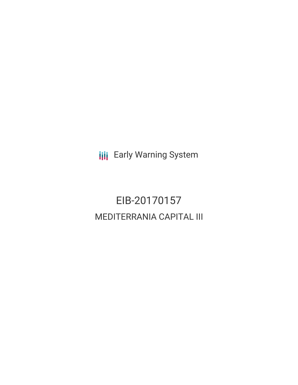**III** Early Warning System

# EIB-20170157 MEDITERRANIA CAPITAL III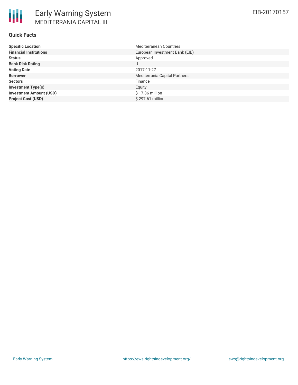### **Quick Facts**

| <b>Specific Location</b>       | <b>Mediterranean Countries</b> |
|--------------------------------|--------------------------------|
| <b>Financial Institutions</b>  | European Investment Bank (EIB) |
| <b>Status</b>                  | Approved                       |
| <b>Bank Risk Rating</b>        | U                              |
| <b>Voting Date</b>             | 2017-11-27                     |
| <b>Borrower</b>                | Mediterrania Capital Partners  |
| <b>Sectors</b>                 | Finance                        |
| <b>Investment Type(s)</b>      | Equity                         |
| <b>Investment Amount (USD)</b> | $$17.86$ million               |
| <b>Project Cost (USD)</b>      | $$297.61$ million              |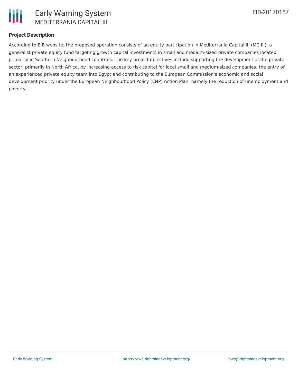

# **Project Description**

According to EIB website, the proposed operation consists of an equity participation in Mediterrania Capital III (MC III), a generalist private equity fund targeting growth capital investments in small and medium-sized private companies located primarily in Southern Neighbourhood countries. The key project objectives include supporting the development of the private sector, primarily in North Africa, by increasing access to risk capital for local small and medium-sized companies, the entry of an experienced private equity team into Egypt and contributing to the European Commission's economic and social development priority under the European Neighbourhood Policy (ENP) Action Plan, namely the reduction of unemployment and poverty.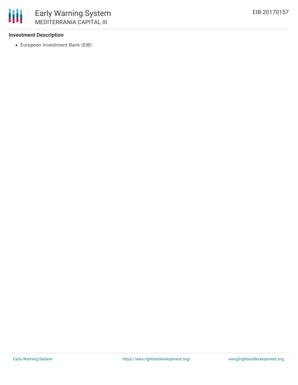## **Investment Description**

冊

European Investment Bank (EIB)